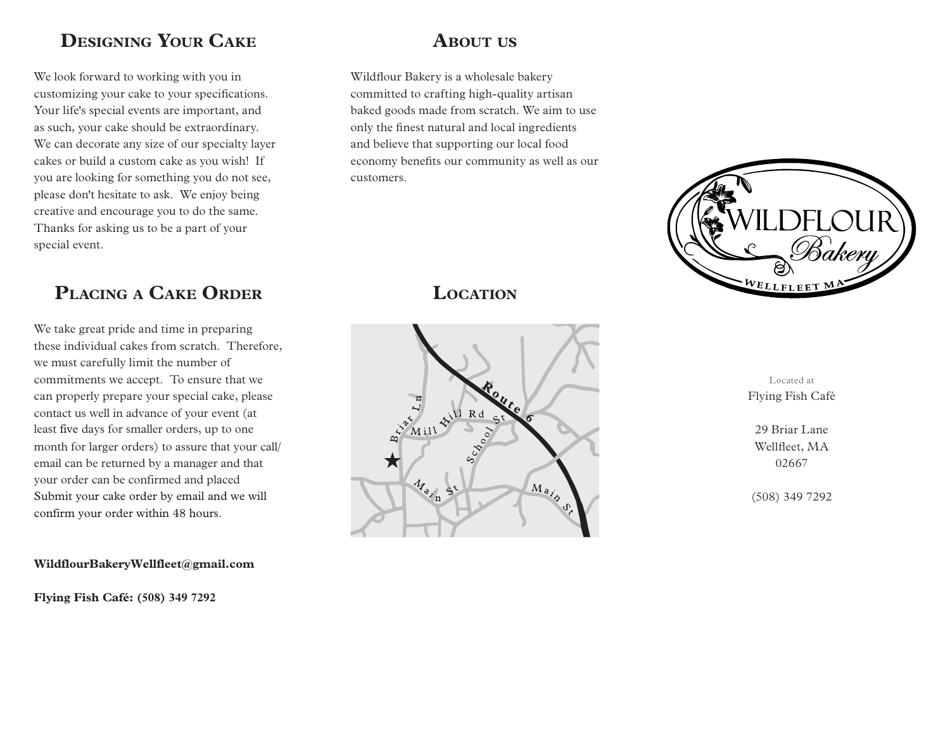# **Designing Your Cake**

We look forward to working with you in customizing your cake to your specifications. Your life's special events are important, and as such, your cake should be extraordinary. We can decorate any size of our specialty layer cakes or build a custom cake as you wish! If you are looking for something you do not see, please don't hesitate to ask. We enjoy being creative and encourage you to do the same. Thanks for asking us to be a part of your special event.

# **PlaCing <sup>a</sup> Cake orDer**

We take great pride and time in preparing these individual cakes from scratch. Therefore, we must carefully limit the number of commitments we accept. To ensure that we can properly prepare your special cake, please contact us well in advance of your event (at least five days for smaller orders, up to one month for larger orders) to assure that your call/ email can be returned by a manager and that your order can be confirmed and placed Submit your cake order by email and we will confirm your order within 48 hours.

### **WildflourBakeryWellfleet@gmail.com**

**Flying Fish Café: (508) 349 7292**

# **About us**

Wildflour Bakery is a wholesale bakery committed to crafting high-quality artisan baked goods made from scratch. We aim to use only the finest natural and local ingredients and believe that supporting our local food economy benefits our community as well as our customers.



# **Location**



Located at Flying Fish Café

29 Briar Lane Wellfleet, MA 02667

(508) 349 7292